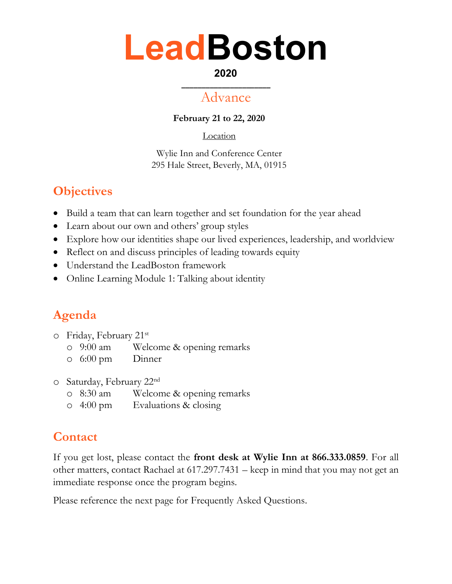## **LeadBoston**

#### **2020 \_\_\_\_\_\_\_\_\_\_\_\_\_\_\_\_\_\_\_\_\_\_**

## Advance

**February 21 to 22, 2020**

Location

Wylie Inn and Conference Center 295 Hale Street, Beverly, MA, 01915

## **Objectives**

- Build a team that can learn together and set foundation for the year ahead
- Learn about our own and others' group styles
- Explore how our identities shape our lived experiences, leadership, and worldview
- Reflect on and discuss principles of leading towards equity
- Understand the LeadBoston framework
- Online Learning Module 1: Talking about identity

## **Agenda**

- o Friday, February 21 st
	- o 9:00 am Welcome & opening remarks
	- o 6:00 pm Dinner
- o Saturday, February 22nd
	- o 8:30 am Welcome & opening remarks
	- o 4:00 pm Evaluations & closing

### **Contact**

If you get lost, please contact the **front desk at Wylie Inn at 866.333.0859**. For all other matters, contact Rachael at 617.297.7431 – keep in mind that you may not get an immediate response once the program begins.

Please reference the next page for Frequently Asked Questions.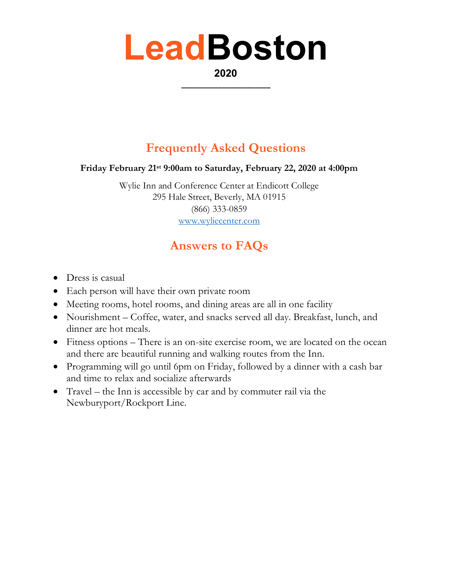## **LeadBoston**

**2020 \_\_\_\_\_\_\_\_\_\_\_\_\_\_\_\_\_\_\_\_\_\_**

## **Frequently Asked Questions**

#### **Friday February 21st 9:00am to Saturday, February 22, 2020 at 4:00pm**

Wylie Inn and Conference Center at Endicott College 295 Hale Street, Beverly, MA 01915 (866) 333-0859 [www.wyliecenter.com](http://www.wyliecenter.com/)

### **Answers to FAQs**

- Dress is casual
- Each person will have their own private room
- Meeting rooms, hotel rooms, and dining areas are all in one facility
- Nourishment Coffee, water, and snacks served all day. Breakfast, lunch, and dinner are hot meals.
- Fitness options There is an on-site exercise room, we are located on the ocean and there are beautiful running and walking routes from the Inn.
- Programming will go until 6pm on Friday, followed by a dinner with a cash bar and time to relax and socialize afterwards
- Travel the Inn is accessible by car and by commuter rail via the Newburyport/Rockport Line.